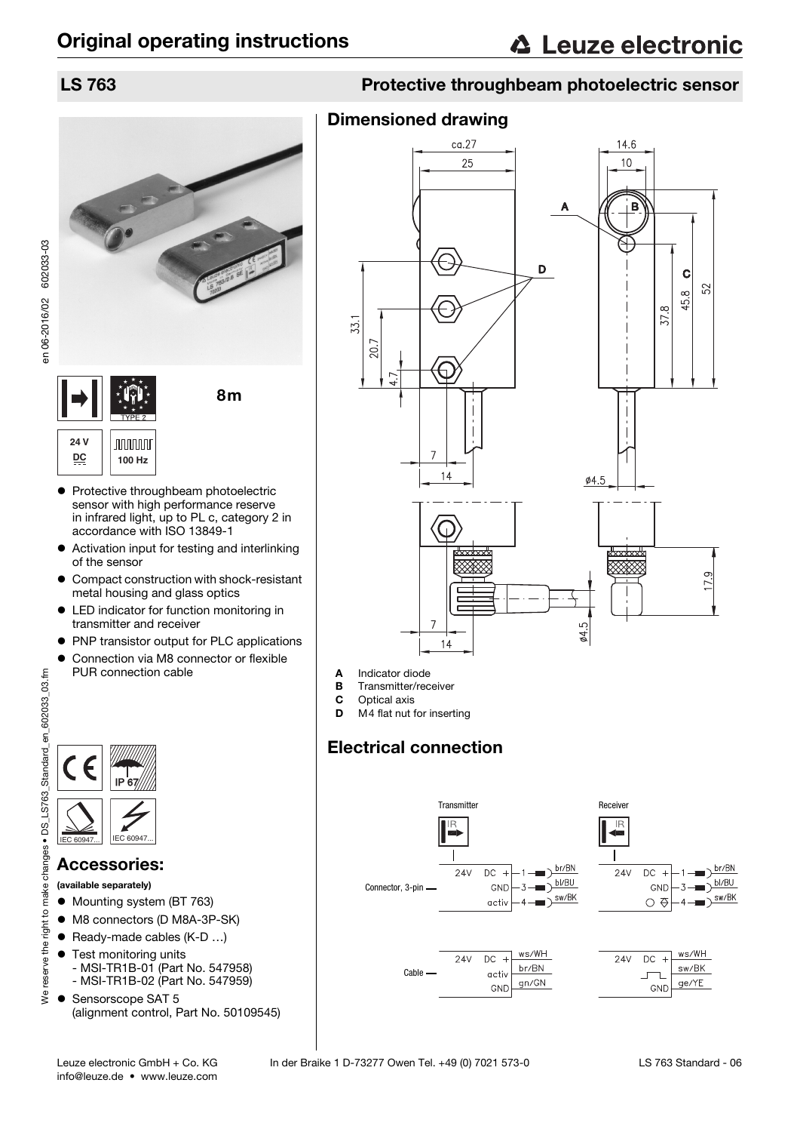

- Protective throughbeam photoelectric sensor with high performance reserve in infrared light, up to PL c, category 2 in accordance with ISO 13849-1
- Activation input for testing and interlinking of the sensor
- Compact construction with shock-resistant metal housing and glass optics
- LED indicator for function monitoring in transmitter and receiver
- PNP transistor output for PLC applications
- Connection via M8 connector or flexible PUR connection cable



## Accessories:

(available separately)

- $\bullet$  Mounting system (BT 763)
- $\bullet$  M8 connectors (D M8A-3P-SK)
- Ready-made cables (K-D ...)
- **•** Test monitoring units
	- MSI-TR1B-01 (Part No. 547958)
	- MSI-TR1B-02 (Part No. 547959)
- Sensorscope SAT 5 (alignment control, Part No. 50109545)

## LS 763 Protective throughbeam photoelectric sensor

## Dimensioned drawing



- A Indicator diode<br>B Transmitter/rec
- **B** Transmitter/receiver<br>**C** Optical axis
- Optical axis
- D M4 flat nut for inserting

## Electrical connection

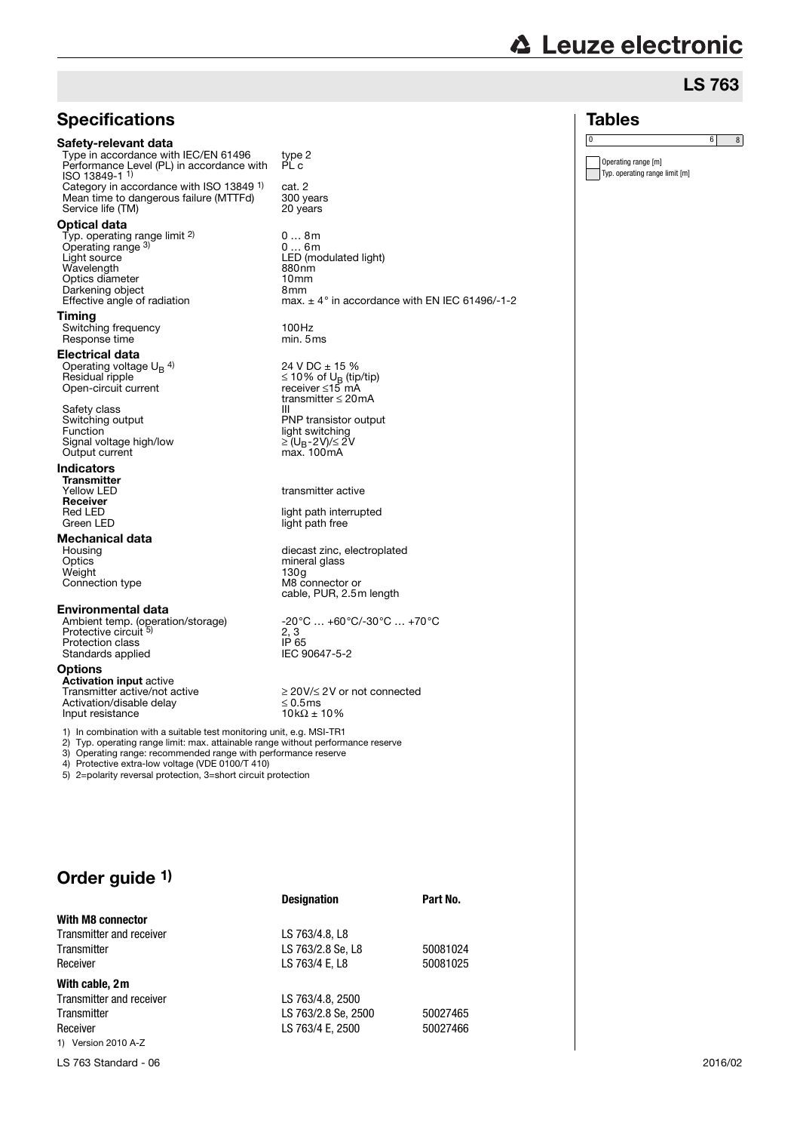| <b>△ Leuze electronic</b> |  |
|---------------------------|--|
|                           |  |

# LS 763

0 6 8

| <b>Specifications</b>                                                                                                                                    |                                                                       | <b>Tables</b>                                         |
|----------------------------------------------------------------------------------------------------------------------------------------------------------|-----------------------------------------------------------------------|-------------------------------------------------------|
| Safety-relevant data                                                                                                                                     |                                                                       | 0                                                     |
| Type in accordance with IEC/EN 61496<br>Performance Level (PL) in accordance with<br>ISO 13849-1 <sup>1</sup>                                            | type 2<br>PL c                                                        | Operating range [m]<br>Typ. operating range limit [m] |
| Category in accordance with ISO 13849 <sup>1)</sup><br>Mean time to dangerous failure (MTTFd)                                                            | cat. 2<br>300 years                                                   |                                                       |
| Service life (TM)                                                                                                                                        | 20 years                                                              |                                                       |
| <b>Optical data</b><br>Typ. operating range limit 2)                                                                                                     | 08m                                                                   |                                                       |
| Operating range 3)                                                                                                                                       | 06m                                                                   |                                                       |
| Light source<br>Wavelength                                                                                                                               | LED (modulated light)<br>880nm                                        |                                                       |
| Optics diameter                                                                                                                                          | 10 <sub>mm</sub>                                                      |                                                       |
| Darkening object<br>Effective angle of radiation                                                                                                         | 8 <sub>mm</sub><br>max. $\pm$ 4° in accordance with EN IEC 61496/-1-2 |                                                       |
| Timing                                                                                                                                                   |                                                                       |                                                       |
| Switching frequency<br>Response time                                                                                                                     | 100Hz<br>min. 5 ms                                                    |                                                       |
| Electrical data                                                                                                                                          |                                                                       |                                                       |
| Operating voltage $U_B$ <sup>4)</sup>                                                                                                                    | 24 V DC ± 15 %                                                        |                                                       |
| Residual ripple<br>Open-circuit current                                                                                                                  | $\leq$ 10% of U <sub>B</sub> (tip/tip)<br>receiver ≤15 mA             |                                                       |
|                                                                                                                                                          | transmitter $\leq$ 20 mA                                              |                                                       |
| Safety class<br>Switching output                                                                                                                         | Ш<br>PNP transistor output                                            |                                                       |
| Function                                                                                                                                                 | light switching                                                       |                                                       |
| Signal voltage high/low                                                                                                                                  | ≥ (U <sub>B</sub> -2V)/≤ 2V                                           |                                                       |
| Output current                                                                                                                                           | max. 100mA                                                            |                                                       |
| Indicators<br><b>Transmitter</b>                                                                                                                         |                                                                       |                                                       |
| Yellow LED                                                                                                                                               | transmitter active                                                    |                                                       |
| Receiver<br>Red LED                                                                                                                                      | light path interrupted                                                |                                                       |
| Green LED                                                                                                                                                | light path free                                                       |                                                       |
| Mechanical data                                                                                                                                          |                                                                       |                                                       |
| Housing                                                                                                                                                  | diecast zinc, electroplated                                           |                                                       |
| Optics<br>Weight                                                                                                                                         | mineral glass<br>130g                                                 |                                                       |
| Connection type                                                                                                                                          | M8 connector or                                                       |                                                       |
|                                                                                                                                                          | cable, PUR, 2.5m length                                               |                                                       |
| <b>Environmental data</b><br>Ambient temp. (operation/storage)                                                                                           | $-20^{\circ}$ C $+60^{\circ}$ C/-30 $^{\circ}$ C $+70^{\circ}$ C      |                                                       |
| Protective circuit 5)                                                                                                                                    | 2, 3                                                                  |                                                       |
| Protection class                                                                                                                                         | IP 65                                                                 |                                                       |
| Standards applied                                                                                                                                        | IEC 90647-5-2                                                         |                                                       |
| <b>Options</b><br><b>Activation input active</b>                                                                                                         |                                                                       |                                                       |
| Transmitter active/not active                                                                                                                            | ≥ 20V/≤ 2V or not connected                                           |                                                       |
| Activation/disable delay                                                                                                                                 | $\leq 0.5$ ms                                                         |                                                       |
| Input resistance                                                                                                                                         | $10k\Omega \pm 10\%$                                                  |                                                       |
| 1) In combination with a suitable test monitoring unit, e.g. MSI-TR1<br>2) Typ. operating range limit: max. attainable range without performance reserve |                                                                       |                                                       |
| 3) Operating range: recommended range with performance reserve                                                                                           |                                                                       |                                                       |
| 4) Protective extra-low voltage (VDE 0100/T 410)<br>5) 2=polarity reversal protection, 3=short circuit protection                                        |                                                                       |                                                       |
|                                                                                                                                                          |                                                                       |                                                       |
|                                                                                                                                                          |                                                                       |                                                       |
|                                                                                                                                                          |                                                                       |                                                       |
|                                                                                                                                                          |                                                                       |                                                       |
|                                                                                                                                                          |                                                                       |                                                       |
| Order guide 1)                                                                                                                                           |                                                                       |                                                       |
|                                                                                                                                                          | <b>Designation</b><br>Part No.                                        |                                                       |
| With M8 connector                                                                                                                                        |                                                                       |                                                       |
|                                                                                                                                                          |                                                                       |                                                       |

1) Version 2010 A-Z

**With cable, 2m**

Transmitter and receiver LS 763/4.8, L8

Transmitter and receiver LS 763/4.8, 2500<br>Transmitter LS 763/2.8 Se, 25

Transmitter LS 763/2.8 Se, L8 50081024<br>Receiver LS 763/4 E, L8 50081025

Transmitter LS 763/2.8 Se, 2500 50027465<br>Receiver LS 763/4 E, 2500 50027466

LS 763/4 E, L8

LS 763/4 E, 2500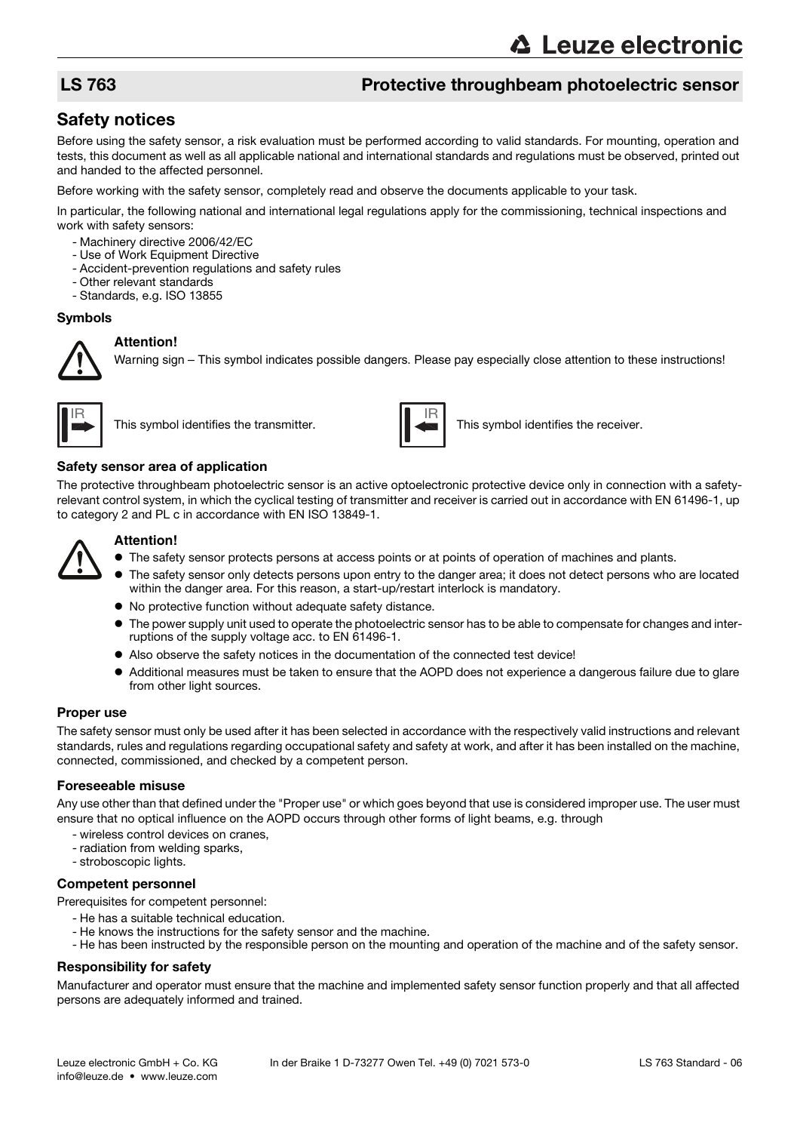## LS 763 Protective throughbeam photoelectric sensor

## Safety notices

Before using the safety sensor, a risk evaluation must be performed according to valid standards. For mounting, operation and tests, this document as well as all applicable national and international standards and regulations must be observed, printed out and handed to the affected personnel.

Before working with the safety sensor, completely read and observe the documents applicable to your task.

In particular, the following national and international legal regulations apply for the commissioning, technical inspections and work with safety sensors:

- Machinery directive 2006/42/EC
- Use of Work Equipment Directive
- Accident-prevention regulations and safety rules
- Other relevant standards
- Standards, e.g. ISO 13855

#### Symbols

#### **Attention!**

Warning sign – This symbol indicates possible dangers. Please pay especially close attention to these instructions!





This symbol identifies the transmitter. This symbol identifies the receiver.

#### Safety sensor area of application

The protective throughbeam photoelectric sensor is an active optoelectronic protective device only in connection with a safetyrelevant control system, in which the cyclical testing of transmitter and receiver is carried out in accordance with EN 61496-1, up to category 2 and PL c in accordance with EN ISO 13849-1.



### **Attention!**

- $\bullet$  The safety sensor protects persons at access points or at points of operation of machines and plants.
- The safety sensor only detects persons upon entry to the danger area; it does not detect persons who are located within the danger area. For this reason, a start-up/restart interlock is mandatory.
- No protective function without adequate safety distance.
- The power supply unit used to operate the photoelectric sensor has to be able to compensate for changes and interruptions of the supply voltage acc. to EN 61496-1.
- Also observe the safety notices in the documentation of the connected test device!
- Additional measures must be taken to ensure that the AOPD does not experience a dangerous failure due to glare from other light sources.

#### Proper use

The safety sensor must only be used after it has been selected in accordance with the respectively valid instructions and relevant standards, rules and regulations regarding occupational safety and safety at work, and after it has been installed on the machine, connected, commissioned, and checked by a competent person.

#### Foreseeable misuse

Any use other than that defined under the "Proper use" or which goes beyond that use is considered improper use. The user must ensure that no optical influence on the AOPD occurs through other forms of light beams, e.g. through

- wireless control devices on cranes,
- radiation from welding sparks,
- stroboscopic lights.

#### Competent personnel

Prerequisites for competent personnel:

- He has a suitable technical education.
- He knows the instructions for the safety sensor and the machine.
- He has been instructed by the responsible person on the mounting and operation of the machine and of the safety sensor.

#### Responsibility for safety

Manufacturer and operator must ensure that the machine and implemented safety sensor function properly and that all affected persons are adequately informed and trained.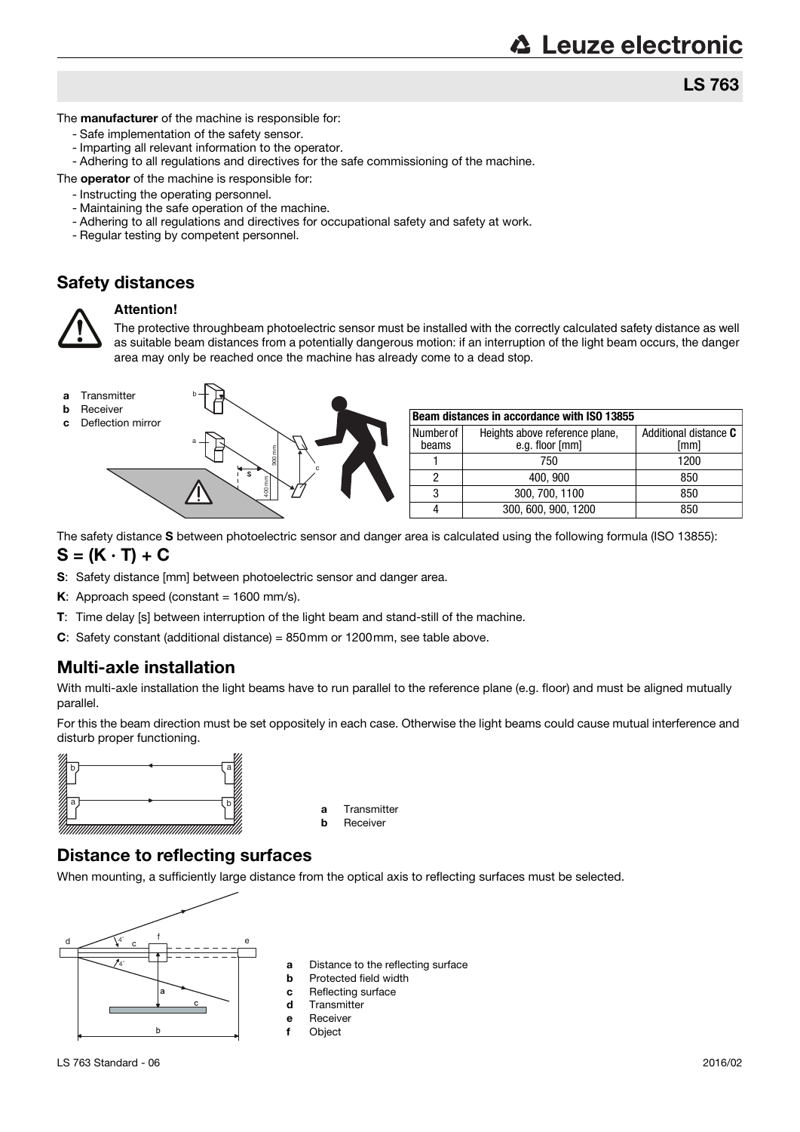LS 763

The **manufacturer** of the machine is responsible for:

- Safe implementation of the safety sensor.
- Imparting all relevant information to the operator.
- Adhering to all regulations and directives for the safe commissioning of the machine.

The **operator** of the machine is responsible for:

- Instructing the operating personnel.
- Maintaining the safe operation of the machine.
- Adhering to all regulations and directives for occupational safety and safety at work.
- Regular testing by competent personnel.

## Safety distances



#### **Attention!**

The protective throughbeam photoelectric sensor must be installed with the correctly calculated safety distance as well as suitable beam distances from a potentially dangerous motion: if an interruption of the light beam occurs, the danger area may only be reached once the machine has already come to a dead stop.



- 
- 



| Beam distances in accordance with ISO 13855 |                                                   |                               |  |  |  |
|---------------------------------------------|---------------------------------------------------|-------------------------------|--|--|--|
| Number of<br>beams                          | Heights above reference plane,<br>e.g. floor [mm] | Additional distance C<br>[mm] |  |  |  |
|                                             | 750                                               | 1200                          |  |  |  |
|                                             | 400, 900                                          | 850                           |  |  |  |
| 3                                           | 300, 700, 1100                                    | 850                           |  |  |  |
|                                             | 300, 600, 900, 1200                               | 850                           |  |  |  |

The safety distance S between photoelectric sensor and danger area is calculated using the following formula (ISO 13855):

 $S = (K \cdot T) + C$ 

- S: Safety distance [mm] between photoelectric sensor and danger area.
- K: Approach speed (constant =  $1600$  mm/s).
- T: Time delay [s] between interruption of the light beam and stand-still of the machine.
- C: Safety constant (additional distance) = 850mm or 1200mm, see table above.

## Multi-axle installation

With multi-axle installation the light beams have to run parallel to the reference plane (e.g. floor) and must be aligned mutually parallel.

For this the beam direction must be set oppositely in each case. Otherwise the light beams could cause mutual interference and disturb proper functioning.



- a Transmitter
- **b** Receiver

## Distance to reflecting surfaces

When mounting, a sufficiently large distance from the optical axis to reflecting surfaces must be selected.



- **a** Distance to the reflecting surface<br>**b** Protected field width
- Protected field width
- c Reflecting surface
- d Transmitter
- e Receiver
- f Object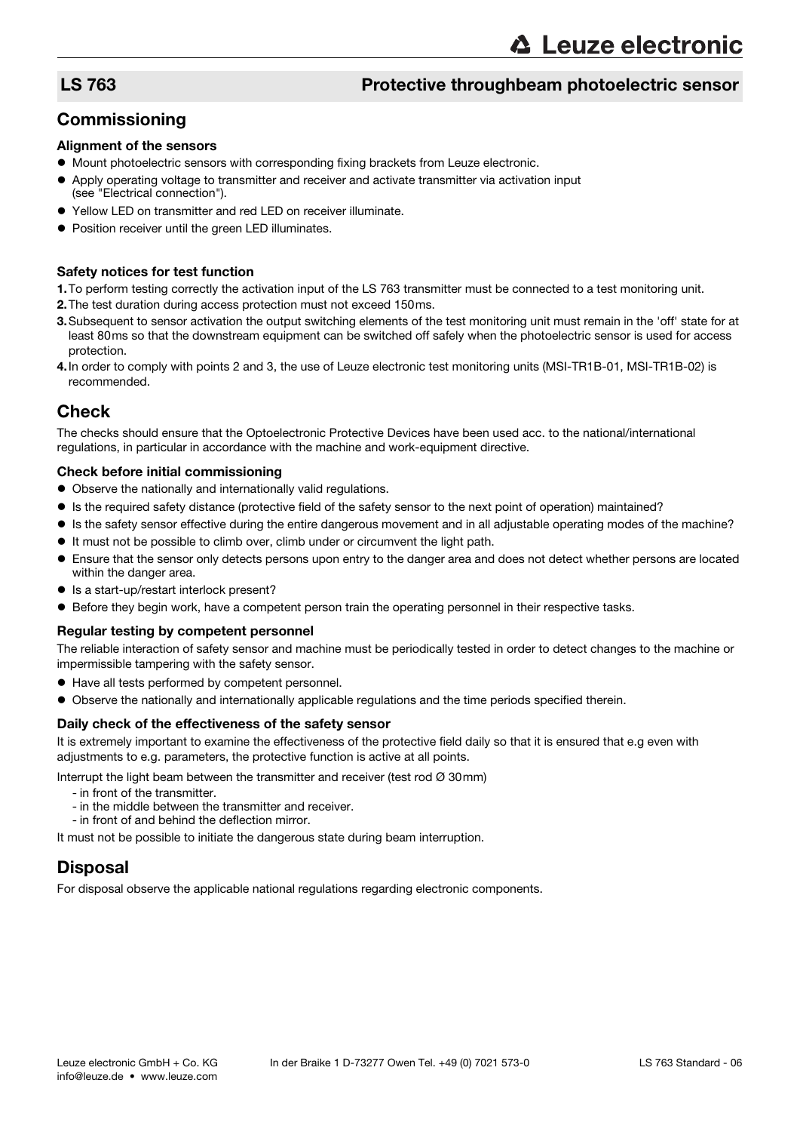## LS 763 Protective throughbeam photoelectric sensor

## **Commissioning**

#### Alignment of the sensors

- $\bullet$  Mount photoelectric sensors with corresponding fixing brackets from Leuze electronic.
- Apply operating voltage to transmitter and receiver and activate transmitter via activation input (see "Electrical connection").
- Yellow LED on transmitter and red LED on receiver illuminate.
- **Position receiver until the green LED illuminates.**

#### Safety notices for test function

- 1.To perform testing correctly the activation input of the LS 763 transmitter must be connected to a test monitoring unit.
- 2.The test duration during access protection must not exceed 150ms.
- 3.Subsequent to sensor activation the output switching elements of the test monitoring unit must remain in the 'off' state for at least 80ms so that the downstream equipment can be switched off safely when the photoelectric sensor is used for access protection.
- 4.In order to comply with points 2 and 3, the use of Leuze electronic test monitoring units (MSI-TR1B-01, MSI-TR1B-02) is recommended.

## Check

The checks should ensure that the Optoelectronic Protective Devices have been used acc. to the national/international regulations, in particular in accordance with the machine and work-equipment directive.

#### Check before initial commissioning

- Observe the nationally and internationally valid regulations.
- Is the required safety distance (protective field of the safety sensor to the next point of operation) maintained?
- Is the safety sensor effective during the entire dangerous movement and in all adjustable operating modes of the machine?
- It must not be possible to climb over, climb under or circumvent the light path.
- Ensure that the sensor only detects persons upon entry to the danger area and does not detect whether persons are located within the danger area.
- Is a start-up/restart interlock present?
- Before they begin work, have a competent person train the operating personnel in their respective tasks.

#### Regular testing by competent personnel

The reliable interaction of safety sensor and machine must be periodically tested in order to detect changes to the machine or impermissible tampering with the safety sensor.

- Have all tests performed by competent personnel.
- Observe the nationally and internationally applicable regulations and the time periods specified therein.

#### Daily check of the effectiveness of the safety sensor

It is extremely important to examine the effectiveness of the protective field daily so that it is ensured that e.g even with adjustments to e.g. parameters, the protective function is active at all points.

Interrupt the light beam between the transmitter and receiver (test rod  $\varnothing$  30mm)

- in front of the transmitter.
- in the middle between the transmitter and receiver.
- in front of and behind the deflection mirror.

It must not be possible to initiate the dangerous state during beam interruption.

## **Disposal**

For disposal observe the applicable national regulations regarding electronic components.